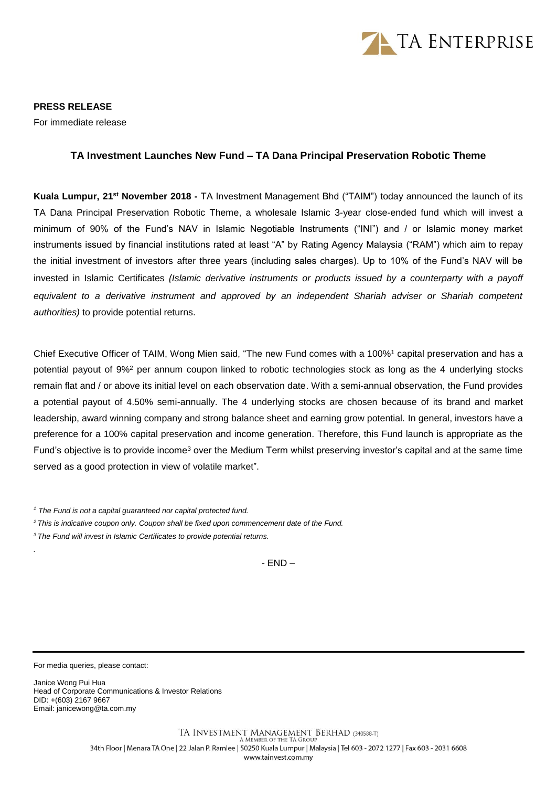

**PRESS RELEASE** For immediate release

## **TA Investment Launches New Fund – TA Dana Principal Preservation Robotic Theme**

Kuala Lumpur, 21<sup>st</sup> November 2018 - TA Investment Management Bhd ("TAIM") today announced the launch of its TA Dana Principal Preservation Robotic Theme, a wholesale Islamic 3-year close-ended fund which will invest a minimum of 90% of the Fund's NAV in Islamic Negotiable Instruments ("INI") and / or Islamic money market instruments issued by financial institutions rated at least "A" by Rating Agency Malaysia ("RAM") which aim to repay the initial investment of investors after three years (including sales charges). Up to 10% of the Fund's NAV will be invested in Islamic Certificates *(Islamic derivative instruments or products issued by a counterparty with a payoff equivalent to a derivative instrument and approved by an independent Shariah adviser or Shariah competent authorities)* to provide potential returns.

Chief Executive Officer of TAIM, Wong Mien said, "The new Fund comes with a 100%<sup>1</sup> capital preservation and has a potential payout of 9%<sup>2</sup> per annum coupon linked to robotic technologies stock as long as the 4 underlying stocks remain flat and / or above its initial level on each observation date. With a semi-annual observation, the Fund provides a potential payout of 4.50% semi-annually. The 4 underlying stocks are chosen because of its brand and market leadership, award winning company and strong balance sheet and earning grow potential. In general, investors have a preference for a 100% capital preservation and income generation. Therefore, this Fund launch is appropriate as the Fund's objective is to provide income<sup>3</sup> over the Medium Term whilst preserving investor's capital and at the same time served as a good protection in view of volatile market".

*<sup>1</sup> The Fund is not a capital guaranteed nor capital protected fund.*

*<sup>2</sup>This is indicative coupon only. Coupon shall be fixed upon commencement date of the Fund.*

*<sup>3</sup>The Fund will invest in Islamic Certificates to provide potential returns.*

- END –

For media queries, please contact:

*.*

Janice Wong Pui Hua Head of Corporate Communications & Investor Relations DID: +(603) 2167 9667 Email: janicewong@ta.com.my